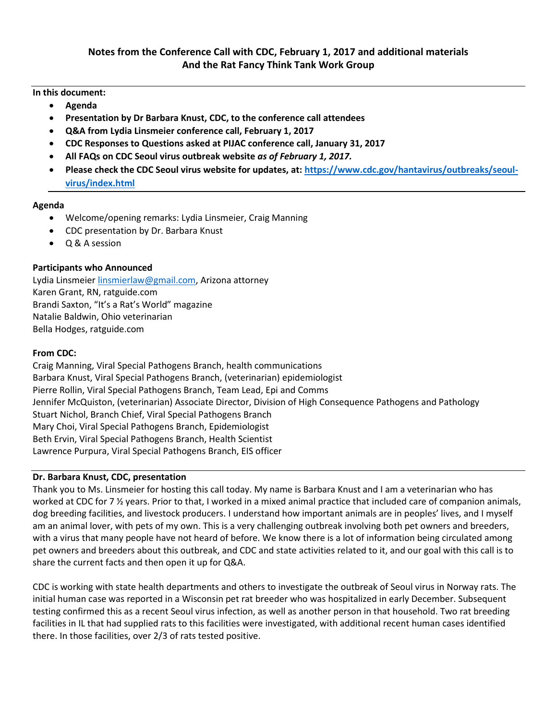**In this document:** 

- **Agenda**
- **Presentation by Dr Barbara Knust, CDC, to the conference call attendees**
- **Q&A from Lydia Linsmeier conference call, February 1, 2017**
- **CDC Responses to Questions asked at PIJAC conference call, January 31, 2017**
- **All FAQs on CDC Seoul virus outbreak website** *as of February 1, 2017.*
- **Please check the CDC Seoul virus website for updates, at: [https://www.cdc.gov/hantavirus/outbreaks/seoul](https://www.cdc.gov/hantavirus/outbreaks/seoul-virus/index.html)[virus/index.html](https://www.cdc.gov/hantavirus/outbreaks/seoul-virus/index.html)**

# **Agenda**

- Welcome/opening remarks: Lydia Linsmeier, Craig Manning
- CDC presentation by Dr. Barbara Knust
- Q & A session

# **Participants who Announced**

Lydia Linsmeie[r linsmierlaw@gmail.com,](mailto:linsmierlaw@gmail.com) Arizona attorney Karen Grant, RN, ratguide.com Brandi Saxton, "It's a Rat's World" magazine Natalie Baldwin, Ohio veterinarian Bella Hodges, ratguide.com

# **From CDC:**

Craig Manning, Viral Special Pathogens Branch, health communications Barbara Knust, Viral Special Pathogens Branch, (veterinarian) epidemiologist Pierre Rollin, Viral Special Pathogens Branch, Team Lead, Epi and Comms Jennifer McQuiston, (veterinarian) Associate Director, Division of High Consequence Pathogens and Pathology Stuart Nichol, Branch Chief, Viral Special Pathogens Branch Mary Choi, Viral Special Pathogens Branch, Epidemiologist Beth Ervin, Viral Special Pathogens Branch, Health Scientist Lawrence Purpura, Viral Special Pathogens Branch, EIS officer

# **Dr. Barbara Knust, CDC, presentation**

Thank you to Ms. Linsmeier for hosting this call today. My name is Barbara Knust and I am a veterinarian who has worked at CDC for 7 % years. Prior to that, I worked in a mixed animal practice that included care of companion animals, dog breeding facilities, and livestock producers. I understand how important animals are in peoples' lives, and I myself am an animal lover, with pets of my own. This is a very challenging outbreak involving both pet owners and breeders, with a virus that many people have not heard of before. We know there is a lot of information being circulated among pet owners and breeders about this outbreak, and CDC and state activities related to it, and our goal with this call is to share the current facts and then open it up for Q&A.

CDC is working with state health departments and others to investigate the outbreak of Seoul virus in Norway rats. The initial human case was reported in a Wisconsin pet rat breeder who was hospitalized in early December. Subsequent testing confirmed this as a recent Seoul virus infection, as well as another person in that household. Two rat breeding facilities in IL that had supplied rats to this facilities were investigated, with additional recent human cases identified there. In those facilities, over 2/3 of rats tested positive.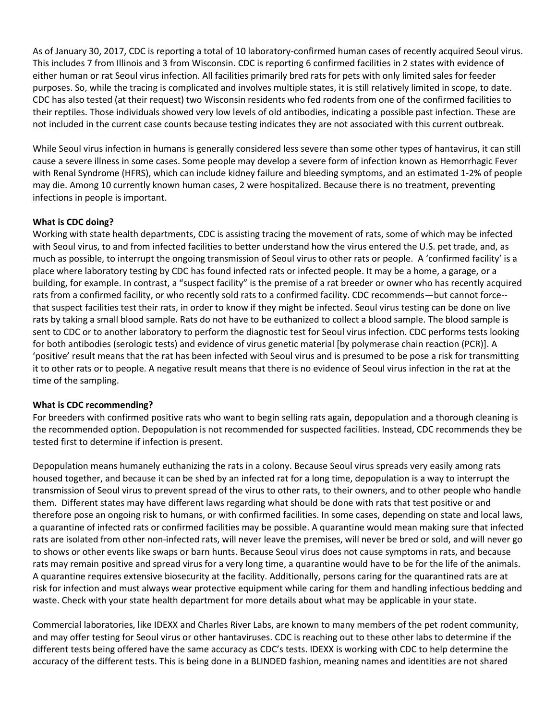As of January 30, 2017, CDC is reporting a total of 10 laboratory-confirmed human cases of recently acquired Seoul virus. This includes 7 from Illinois and 3 from Wisconsin. CDC is reporting 6 confirmed facilities in 2 states with evidence of either human or rat Seoul virus infection. All facilities primarily bred rats for pets with only limited sales for feeder purposes. So, while the tracing is complicated and involves multiple states, it is still relatively limited in scope, to date. CDC has also tested (at their request) two Wisconsin residents who fed rodents from one of the confirmed facilities to their reptiles. Those individuals showed very low levels of old antibodies, indicating a possible past infection. These are not included in the current case counts because testing indicates they are not associated with this current outbreak.

While Seoul virus infection in humans is generally considered less severe than some other types of hantavirus, it can still cause a severe illness in some cases. Some people may develop a severe form of infection known as Hemorrhagic Fever with Renal Syndrome (HFRS), which can include kidney failure and bleeding symptoms, and an estimated 1-2% of people may die. Among 10 currently known human cases, 2 were hospitalized. Because there is no treatment, preventing infections in people is important.

# **What is CDC doing?**

Working with state health departments, CDC is assisting tracing the movement of rats, some of which may be infected with Seoul virus, to and from infected facilities to better understand how the virus entered the U.S. pet trade, and, as much as possible, to interrupt the ongoing transmission of Seoul virus to other rats or people. A 'confirmed facility' is a place where laboratory testing by CDC has found infected rats or infected people. It may be a home, a garage, or a building, for example. In contrast, a "suspect facility" is the premise of a rat breeder or owner who has recently acquired rats from a confirmed facility, or who recently sold rats to a confirmed facility. CDC recommends—but cannot force- that suspect facilities test their rats, in order to know if they might be infected. Seoul virus testing can be done on live rats by taking a small blood sample. Rats do not have to be euthanized to collect a blood sample. The blood sample is sent to CDC or to another laboratory to perform the diagnostic test for Seoul virus infection. CDC performs tests looking for both antibodies (serologic tests) and evidence of virus genetic material [by polymerase chain reaction (PCR)]. A 'positive' result means that the rat has been infected with Seoul virus and is presumed to be pose a risk for transmitting it to other rats or to people. A negative result means that there is no evidence of Seoul virus infection in the rat at the time of the sampling.

# **What is CDC recommending?**

For breeders with confirmed positive rats who want to begin selling rats again, depopulation and a thorough cleaning is the recommended option. Depopulation is not recommended for suspected facilities. Instead, CDC recommends they be tested first to determine if infection is present.

Depopulation means humanely euthanizing the rats in a colony. Because Seoul virus spreads very easily among rats housed together, and because it can be shed by an infected rat for a long time, depopulation is a way to interrupt the transmission of Seoul virus to prevent spread of the virus to other rats, to their owners, and to other people who handle them. Different states may have different laws regarding what should be done with rats that test positive or and therefore pose an ongoing risk to humans, or with confirmed facilities. In some cases, depending on state and local laws, a quarantine of infected rats or confirmed facilities may be possible. A quarantine would mean making sure that infected rats are isolated from other non-infected rats, will never leave the premises, will never be bred or sold, and will never go to shows or other events like swaps or barn hunts. Because Seoul virus does not cause symptoms in rats, and because rats may remain positive and spread virus for a very long time, a quarantine would have to be for the life of the animals. A quarantine requires extensive biosecurity at the facility. Additionally, persons caring for the quarantined rats are at risk for infection and must always wear protective equipment while caring for them and handling infectious bedding and waste. Check with your state health department for more details about what may be applicable in your state.

Commercial laboratories, like IDEXX and Charles River Labs, are known to many members of the pet rodent community, and may offer testing for Seoul virus or other hantaviruses. CDC is reaching out to these other labs to determine if the different tests being offered have the same accuracy as CDC's tests. IDEXX is working with CDC to help determine the accuracy of the different tests. This is being done in a BLINDED fashion, meaning names and identities are not shared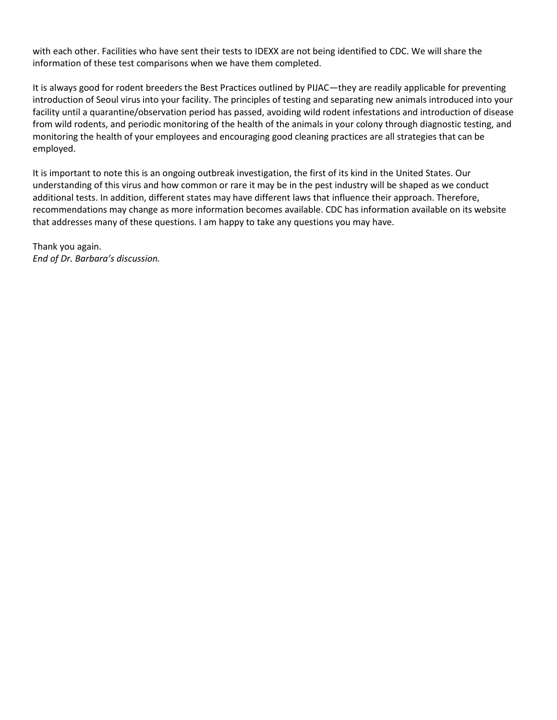with each other. Facilities who have sent their tests to IDEXX are not being identified to CDC. We will share the information of these test comparisons when we have them completed.

It is always good for rodent breeders the Best Practices outlined by PIJAC—they are readily applicable for preventing introduction of Seoul virus into your facility. The principles of testing and separating new animals introduced into your facility until a quarantine/observation period has passed, avoiding wild rodent infestations and introduction of disease from wild rodents, and periodic monitoring of the health of the animals in your colony through diagnostic testing, and monitoring the health of your employees and encouraging good cleaning practices are all strategies that can be employed.

It is important to note this is an ongoing outbreak investigation, the first of its kind in the United States. Our understanding of this virus and how common or rare it may be in the pest industry will be shaped as we conduct additional tests. In addition, different states may have different laws that influence their approach. Therefore, recommendations may change as more information becomes available. CDC has information available on its website that addresses many of these questions. I am happy to take any questions you may have.

Thank you again. *End of Dr. Barbara's discussion.*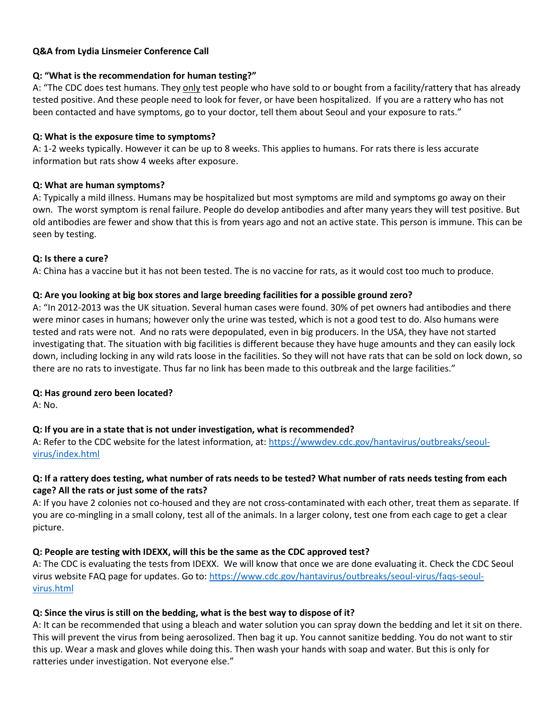# **Q&A from Lydia Linsmeier Conference Call**

## **Q: "What is the recommendation for human testing?"**

A: "The CDC does test humans. They only test people who have sold to or bought from a facility/rattery that has already tested positive. And these people need to look for fever, or have been hospitalized. If you are a rattery who has not been contacted and have symptoms, go to your doctor, tell them about Seoul and your exposure to rats."

#### **Q: What is the exposure time to symptoms?**

A: 1-2 weeks typically. However it can be up to 8 weeks. This applies to humans. For rats there is less accurate information but rats show 4 weeks after exposure.

#### **Q: What are human symptoms?**

A: Typically a mild illness. Humans may be hospitalized but most symptoms are mild and symptoms go away on their own. The worst symptom is renal failure. People do develop antibodies and after many years they will test positive. But old antibodies are fewer and show that this is from years ago and not an active state. This person is immune. This can be seen by testing.

#### **Q: Is there a cure?**

A: China has a vaccine but it has not been tested. The is no vaccine for rats, as it would cost too much to produce.

# **Q: Are you looking at big box stores and large breeding facilities for a possible ground zero?**

A: "In 2012-2013 was the UK situation. Several human cases were found. 30% of pet owners had antibodies and there were minor cases in humans; however only the urine was tested, which is not a good test to do. Also humans were tested and rats were not. And no rats were depopulated, even in big producers. In the USA, they have not started investigating that. The situation with big facilities is different because they have huge amounts and they can easily lock down, including locking in any wild rats loose in the facilities. So they will not have rats that can be sold on lock down, so there are no rats to investigate. Thus far no link has been made to this outbreak and the large facilities."

# **Q: Has ground zero been located?**

A: No.

# **Q: If you are in a state that is not under investigation, what is recommended?**

A: Refer to the CDC website for the latest information, at: [https://wwwdev.cdc.gov/hantavirus/outbreaks/seoul](https://wwwdev.cdc.gov/hantavirus/outbreaks/seoul-virus/index.html)[virus/index.html](https://wwwdev.cdc.gov/hantavirus/outbreaks/seoul-virus/index.html)

# **Q: If a rattery does testing, what number of rats needs to be tested? What number of rats needs testing from each cage? All the rats or just some of the rats?**

A: If you have 2 colonies not co-housed and they are not cross-contaminated with each other, treat them as separate. If you are co-mingling in a small colony, test all of the animals. In a larger colony, test one from each cage to get a clear picture.

# **Q: People are testing with IDEXX, will this be the same as the CDC approved test?**

A: The CDC is evaluating the tests from IDEXX. We will know that once we are done evaluating it. Check the CDC Seoul virus website FAQ page for updates. Go to: [https://www.cdc.gov/hantavirus/outbreaks/seoul-virus/faqs-seoul](https://www.cdc.gov/hantavirus/outbreaks/seoul-virus/faqs-seoul-virus.html)[virus.html](https://www.cdc.gov/hantavirus/outbreaks/seoul-virus/faqs-seoul-virus.html)

# **Q: Since the virus is still on the bedding, what is the best way to dispose of it?**

A: It can be recommended that using a bleach and water solution you can spray down the bedding and let it sit on there. This will prevent the virus from being aerosolized. Then bag it up. You cannot sanitize bedding. You do not want to stir this up. Wear a mask and gloves while doing this. Then wash your hands with soap and water. But this is only for ratteries under investigation. Not everyone else."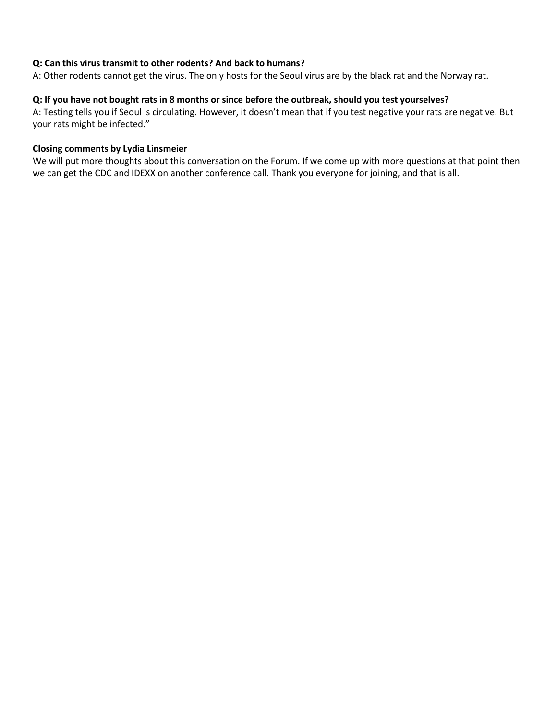# **Q: Can this virus transmit to other rodents? And back to humans?**

A: Other rodents cannot get the virus. The only hosts for the Seoul virus are by the black rat and the Norway rat.

# **Q: If you have not bought rats in 8 months or since before the outbreak, should you test yourselves?**

A: Testing tells you if Seoul is circulating. However, it doesn't mean that if you test negative your rats are negative. But your rats might be infected."

#### **Closing comments by Lydia Linsmeier**

We will put more thoughts about this conversation on the Forum. If we come up with more questions at that point then we can get the CDC and IDEXX on another conference call. Thank you everyone for joining, and that is all.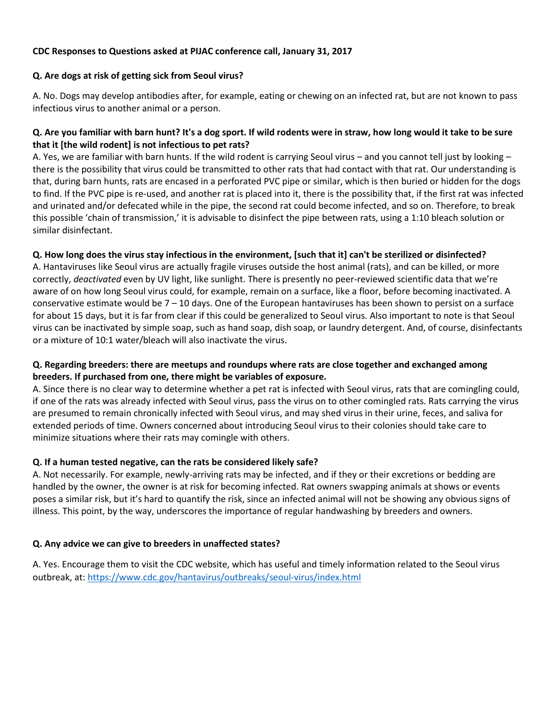# **CDC Responses to Questions asked at PIJAC conference call, January 31, 2017**

# **Q. Are dogs at risk of getting sick from Seoul virus?**

A. No. Dogs may develop antibodies after, for example, eating or chewing on an infected rat, but are not known to pass infectious virus to another animal or a person.

# **Q. Are you familiar with barn hunt? It's a dog sport. If wild rodents were in straw, how long would it take to be sure that it [the wild rodent] is not infectious to pet rats?**

A. Yes, we are familiar with barn hunts. If the wild rodent is carrying Seoul virus – and you cannot tell just by looking – there is the possibility that virus could be transmitted to other rats that had contact with that rat. Our understanding is that, during barn hunts, rats are encased in a perforated PVC pipe or similar, which is then buried or hidden for the dogs to find. If the PVC pipe is re-used, and another rat is placed into it, there is the possibility that, if the first rat was infected and urinated and/or defecated while in the pipe, the second rat could become infected, and so on. Therefore, to break this possible 'chain of transmission,' it is advisable to disinfect the pipe between rats, using a 1:10 bleach solution or similar disinfectant.

# **Q. How long does the virus stay infectious in the environment, [such that it] can't be sterilized or disinfected?**

A. Hantaviruses like Seoul virus are actually fragile viruses outside the host animal (rats), and can be killed, or more correctly, *deactivated* even by UV light, like sunlight. There is presently no peer-reviewed scientific data that we're aware of on how long Seoul virus could, for example, remain on a surface, like a floor, before becoming inactivated. A conservative estimate would be  $7 - 10$  days. One of the European hantaviruses has been shown to persist on a surface for about 15 days, but it is far from clear if this could be generalized to Seoul virus. Also important to note is that Seoul virus can be inactivated by simple soap, such as hand soap, dish soap, or laundry detergent. And, of course, disinfectants or a mixture of 10:1 water/bleach will also inactivate the virus.

# **Q. Regarding breeders: there are meetups and roundups where rats are close together and exchanged among breeders. If purchased from one, there might be variables of exposure.**

A. Since there is no clear way to determine whether a pet rat is infected with Seoul virus, rats that are comingling could, if one of the rats was already infected with Seoul virus, pass the virus on to other comingled rats. Rats carrying the virus are presumed to remain chronically infected with Seoul virus, and may shed virus in their urine, feces, and saliva for extended periods of time. Owners concerned about introducing Seoul virus to their colonies should take care to minimize situations where their rats may comingle with others.

# **Q. If a human tested negative, can the rats be considered likely safe?**

A. Not necessarily. For example, newly-arriving rats may be infected, and if they or their excretions or bedding are handled by the owner, the owner is at risk for becoming infected. Rat owners swapping animals at shows or events poses a similar risk, but it's hard to quantify the risk, since an infected animal will not be showing any obvious signs of illness. This point, by the way, underscores the importance of regular handwashing by breeders and owners.

# **Q. Any advice we can give to breeders in unaffected states?**

A. Yes. Encourage them to visit the CDC website, which has useful and timely information related to the Seoul virus outbreak, at:<https://www.cdc.gov/hantavirus/outbreaks/seoul-virus/index.html>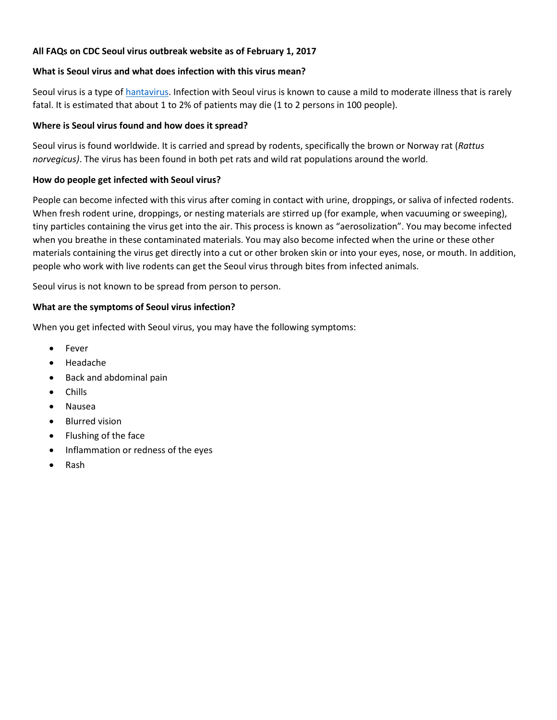# **All FAQs on CDC Seoul virus outbreak website as of February 1, 2017**

# **What is Seoul virus and what does infection with this virus mean?**

Seoul virus is a type of [hantavirus.](https://www.cdc.gov/hantavirus/index.html) Infection with Seoul virus is known to cause a mild to moderate illness that is rarely fatal. It is estimated that about 1 to 2% of patients may die (1 to 2 persons in 100 people).

# **Where is Seoul virus found and how does it spread?**

Seoul virus is found worldwide. It is carried and spread by rodents, specifically the brown or Norway rat (*Rattus norvegicus)*. The virus has been found in both pet rats and wild rat populations around the world.

# **How do people get infected with Seoul virus?**

People can become infected with this virus after coming in contact with urine, droppings, or saliva of infected rodents. When fresh rodent urine, droppings, or nesting materials are stirred up (for example, when vacuuming or sweeping), tiny particles containing the virus get into the air. This process is known as "aerosolization". You may become infected when you breathe in these contaminated materials. You may also become infected when the urine or these other materials containing the virus get directly into a cut or other broken skin or into your eyes, nose, or mouth. In addition, people who work with live rodents can get the Seoul virus through bites from infected animals.

Seoul virus is not known to be spread from person to person.

# **What are the symptoms of Seoul virus infection?**

When you get infected with Seoul virus, you may have the following symptoms:

- Fever
- Headache
- Back and abdominal pain
- Chills
- Nausea
- Blurred vision
- Flushing of the face
- Inflammation or redness of the eyes
- Rash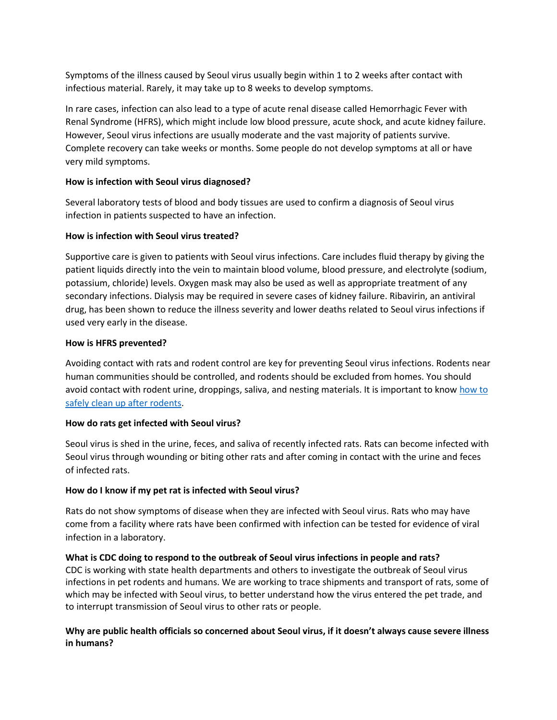Symptoms of the illness caused by Seoul virus usually begin within 1 to 2 weeks after contact with infectious material. Rarely, it may take up to 8 weeks to develop symptoms.

In rare cases, infection can also lead to a type of acute renal disease called Hemorrhagic Fever with Renal Syndrome (HFRS), which might include low blood pressure, acute shock, and acute kidney failure. However, Seoul virus infections are usually moderate and the vast majority of patients survive. Complete recovery can take weeks or months. Some people do not develop symptoms at all or have very mild symptoms.

# **How is infection with Seoul virus diagnosed?**

Several laboratory tests of blood and body tissues are used to confirm a diagnosis of Seoul virus infection in patients suspected to have an infection.

# **How is infection with Seoul virus treated?**

Supportive care is given to patients with Seoul virus infections. Care includes fluid therapy by giving the patient liquids directly into the vein to maintain blood volume, blood pressure, and electrolyte (sodium, potassium, chloride) levels. Oxygen mask may also be used as well as appropriate treatment of any secondary infections. Dialysis may be required in severe cases of kidney failure. Ribavirin, an antiviral drug, has been shown to reduce the illness severity and lower deaths related to Seoul virus infections if used very early in the disease.

# **How is HFRS prevented?**

Avoiding contact with rats and rodent control are key for preventing Seoul virus infections. Rodents near human communities should be controlled, and rodents should be excluded from homes. You should avoid contact with rodent urine, droppings, saliva, and nesting materials. It is important to know [how to](https://www.cdc.gov/rodents/cleaning/index.html)  [safely clean up after rodents.](https://www.cdc.gov/rodents/cleaning/index.html)

# **How do rats get infected with Seoul virus?**

Seoul virus is shed in the urine, feces, and saliva of recently infected rats. Rats can become infected with Seoul virus through wounding or biting other rats and after coming in contact with the urine and feces of infected rats.

# **How do I know if my pet rat is infected with Seoul virus?**

Rats do not show symptoms of disease when they are infected with Seoul virus. Rats who may have come from a facility where rats have been confirmed with infection can be tested for evidence of viral infection in a laboratory.

# **What is CDC doing to respond to the outbreak of Seoul virus infections in people and rats?**

CDC is working with state health departments and others to investigate the outbreak of Seoul virus infections in pet rodents and humans. We are working to trace shipments and transport of rats, some of which may be infected with Seoul virus, to better understand how the virus entered the pet trade, and to interrupt transmission of Seoul virus to other rats or people.

# **Why are public health officials so concerned about Seoul virus, if it doesn't always cause severe illness in humans?**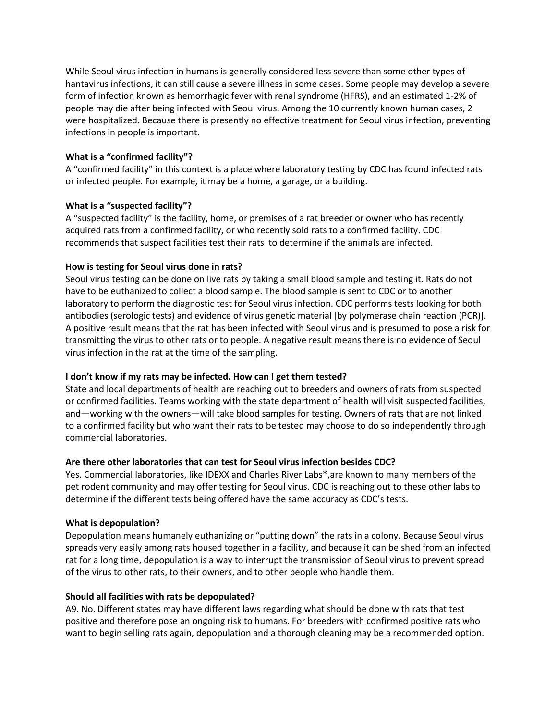While Seoul virus infection in humans is generally considered less severe than some other types of hantavirus infections, it can still cause a severe illness in some cases. Some people may develop a severe form of infection known as hemorrhagic fever with renal syndrome (HFRS), and an estimated 1-2% of people may die after being infected with Seoul virus. Among the 10 currently known human cases, 2 were hospitalized. Because there is presently no effective treatment for Seoul virus infection, preventing infections in people is important.

# **What is a "confirmed facility"?**

A "confirmed facility" in this context is a place where laboratory testing by CDC has found infected rats or infected people. For example, it may be a home, a garage, or a building.

# **What is a "suspected facility"?**

A "suspected facility" is the facility, home, or premises of a rat breeder or owner who has recently acquired rats from a confirmed facility, or who recently sold rats to a confirmed facility. CDC recommends that suspect facilities test their rats to determine if the animals are infected.

# **How is testing for Seoul virus done in rats?**

Seoul virus testing can be done on live rats by taking a small blood sample and testing it. Rats do not have to be euthanized to collect a blood sample. The blood sample is sent to CDC or to another laboratory to perform the diagnostic test for Seoul virus infection. CDC performs tests looking for both antibodies (serologic tests) and evidence of virus genetic material [by polymerase chain reaction (PCR)]. A positive result means that the rat has been infected with Seoul virus and is presumed to pose a risk for transmitting the virus to other rats or to people. A negative result means there is no evidence of Seoul virus infection in the rat at the time of the sampling.

# **I don't know if my rats may be infected. How can I get them tested?**

State and local departments of health are reaching out to breeders and owners of rats from suspected or confirmed facilities. Teams working with the state department of health will visit suspected facilities, and—working with the owners—will take blood samples for testing. Owners of rats that are not linked to a confirmed facility but who want their rats to be tested may choose to do so independently through commercial laboratories.

# **Are there other laboratories that can test for Seoul virus infection besides CDC?**

Yes. Commercial laboratories, like IDEXX and Charles River Labs\*,are known to many members of the pet rodent community and may offer testing for Seoul virus. CDC is reaching out to these other labs to determine if the different tests being offered have the same accuracy as CDC's tests.

# **What is depopulation?**

Depopulation means humanely euthanizing or "putting down" the rats in a colony. Because Seoul virus spreads very easily among rats housed together in a facility, and because it can be shed from an infected rat for a long time, depopulation is a way to interrupt the transmission of Seoul virus to prevent spread of the virus to other rats, to their owners, and to other people who handle them.

# **Should all facilities with rats be depopulated?**

A9. No. Different states may have different laws regarding what should be done with rats that test positive and therefore pose an ongoing risk to humans. For breeders with confirmed positive rats who want to begin selling rats again, depopulation and a thorough cleaning may be a recommended option.